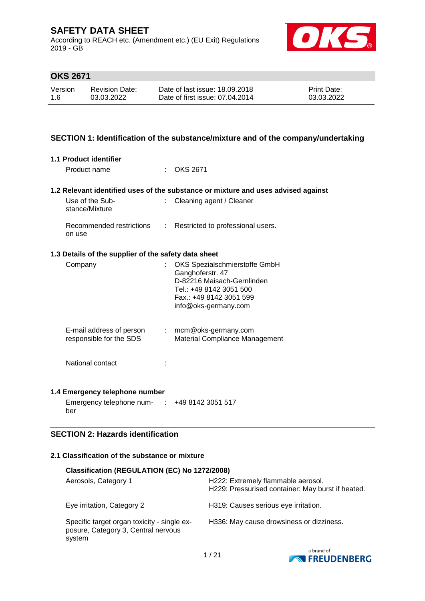According to REACH etc. (Amendment etc.) (EU Exit) Regulations 2019 - GB



## **OKS 2671**

| Version | <b>Revision Date:</b> | Date of last issue: 18,09,2018  | <b>Print Date:</b> |
|---------|-----------------------|---------------------------------|--------------------|
| 1.6     | 03.03.2022            | Date of first issue: 07.04.2014 | 03.03.2022         |

### **SECTION 1: Identification of the substance/mixture and of the company/undertaking**

#### **1.1 Product identifier**

Product name : OKS 2671

#### **1.2 Relevant identified uses of the substance or mixture and uses advised against**

| Use of the Sub-<br>stance/Mixture  | $\therefore$ Cleaning agent / Cleaner |
|------------------------------------|---------------------------------------|
| Recommended restrictions<br>on use | : Restricted to professional users.   |

#### **1.3 Details of the supplier of the safety data sheet**

| Company                                             | OKS Spezialschmierstoffe GmbH<br>Ganghoferstr. 47<br>D-82216 Maisach-Gernlinden<br>Tel.: +49 8142 3051 500<br>Fax: +49 8142 3051 599<br>info@oks-germany.com |
|-----------------------------------------------------|--------------------------------------------------------------------------------------------------------------------------------------------------------------|
| E-mail address of person<br>responsible for the SDS | $:$ mcm@oks-germany.com<br>Material Compliance Management                                                                                                    |
| National contact                                    |                                                                                                                                                              |

#### **1.4 Emergency telephone number**

Emergency telephone num-: +49 8142 3051 517 ber

## **SECTION 2: Hazards identification**

#### **2.1 Classification of the substance or mixture**

| Classification (REGULATION (EC) No 1272/2008)                                                |                                                                                         |
|----------------------------------------------------------------------------------------------|-----------------------------------------------------------------------------------------|
| Aerosols, Category 1                                                                         | H222: Extremely flammable aerosol.<br>H229: Pressurised container: May burst if heated. |
| Eye irritation, Category 2                                                                   | H319: Causes serious eye irritation.                                                    |
| Specific target organ toxicity - single ex-<br>posure, Category 3, Central nervous<br>system | H336: May cause drowsiness or dizziness.                                                |

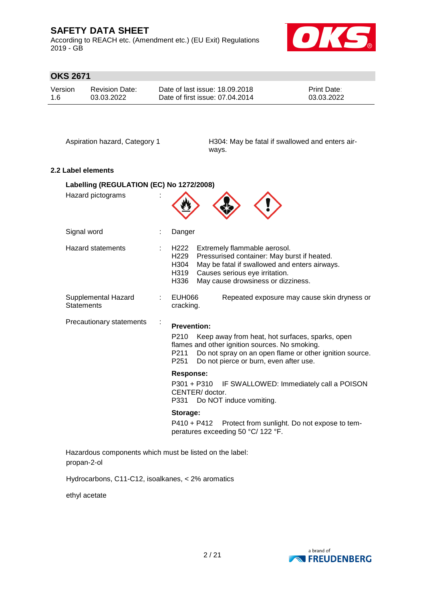According to REACH etc. (Amendment etc.) (EU Exit) Regulations 2019 - GB



# **OKS 2671**

| Version | Revision Date: | Date of last issue: 18.09.2018  | <b>Print Date:</b> |
|---------|----------------|---------------------------------|--------------------|
| 1.6     | 03.03.2022     | Date of first issue: 07.04.2014 | 03.03.2022         |

Aspiration hazard, Category 1 H304: May be fatal if swallowed and enters airways.

### **2.2 Label elements**

| Labelling (REGULATION (EC) No 1272/2008)                |                                                                                                                                                                                                                                                                              |  |  |
|---------------------------------------------------------|------------------------------------------------------------------------------------------------------------------------------------------------------------------------------------------------------------------------------------------------------------------------------|--|--|
| Hazard pictograms                                       |                                                                                                                                                                                                                                                                              |  |  |
| Signal word                                             | Danger                                                                                                                                                                                                                                                                       |  |  |
| <b>Hazard statements</b>                                | H222<br>Extremely flammable aerosol.<br>H <sub>229</sub><br>Pressurised container: May burst if heated.<br>H304<br>May be fatal if swallowed and enters airways.<br>Causes serious eye irritation.<br>H319<br>H336<br>May cause drowsiness or dizziness.                     |  |  |
| Supplemental Hazard<br><b>Statements</b>                | EUH066<br>Repeated exposure may cause skin dryness or<br>cracking.                                                                                                                                                                                                           |  |  |
| Precautionary statements<br>÷                           | <b>Prevention:</b><br>P <sub>210</sub><br>Keep away from heat, hot surfaces, sparks, open<br>flames and other ignition sources. No smoking.<br>Do not spray on an open flame or other ignition source.<br>P211<br>P <sub>251</sub><br>Do not pierce or burn, even after use. |  |  |
|                                                         | <b>Response:</b>                                                                                                                                                                                                                                                             |  |  |
|                                                         | P301 + P310<br>IF SWALLOWED: Immediately call a POISON<br>CENTER/doctor.<br>Do NOT induce vomiting.<br>P331                                                                                                                                                                  |  |  |
|                                                         | Storage:                                                                                                                                                                                                                                                                     |  |  |
|                                                         | $P410 + P412$<br>Protect from sunlight. Do not expose to tem-<br>peratures exceeding 50 °C/ 122 °F.                                                                                                                                                                          |  |  |
| Hazardous components which must be listed on the label: |                                                                                                                                                                                                                                                                              |  |  |

propan-2-ol

Hydrocarbons, C11-C12, isoalkanes, < 2% aromatics

ethyl acetate

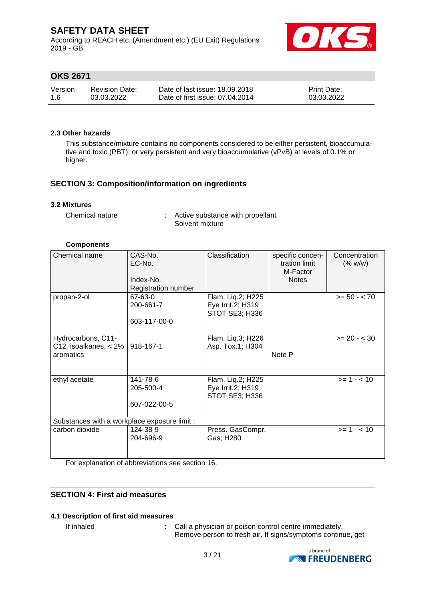According to REACH etc. (Amendment etc.) (EU Exit) Regulations 2019 - GB



## **OKS 2671**

| Version | <b>Revision Date:</b> | Date of last issue: 18.09.2018  | <b>Print Date:</b> |
|---------|-----------------------|---------------------------------|--------------------|
| -1.6    | 03.03.2022            | Date of first issue: 07.04.2014 | 03.03.2022         |

#### **2.3 Other hazards**

This substance/mixture contains no components considered to be either persistent, bioaccumulative and toxic (PBT), or very persistent and very bioaccumulative (vPvB) at levels of 0.1% or higher.

### **SECTION 3: Composition/information on ingredients**

#### **3.2 Mixtures**

Chemical nature : Active substance with propellant Solvent mixture

### **Components**

| Chemical name                                              | CAS-No.<br>EC-No.<br>Index-No.<br>Registration number | Classification                                           | specific concen-<br>tration limit<br>M-Factor<br><b>Notes</b> | Concentration<br>(% w/w) |
|------------------------------------------------------------|-------------------------------------------------------|----------------------------------------------------------|---------------------------------------------------------------|--------------------------|
| propan-2-ol                                                | 67-63-0<br>200-661-7<br>603-117-00-0                  | Flam. Liq.2; H225<br>Eye Irrit.2; H319<br>STOT SE3; H336 |                                                               | $>= 50 - < 70$           |
| Hydrocarbons, C11-<br>C12, isoalkanes, $<$ 2%<br>aromatics | 918-167-1                                             | Flam. Lig.3; H226<br>Asp. Tox.1; H304                    | Note P                                                        | $>= 20 - < 30$           |
| ethyl acetate                                              | 141-78-6<br>205-500-4<br>607-022-00-5                 | Flam. Lig.2; H225<br>Eye Irrit.2; H319<br>STOT SE3; H336 |                                                               | $>= 1 - < 10$            |
| Substances with a workplace exposure limit :               |                                                       |                                                          |                                                               |                          |
| carbon dioxide                                             | 124-38-9<br>204-696-9                                 | Press. GasCompr.<br>Gas; H280                            |                                                               | $>= 1 - 10$              |

For explanation of abbreviations see section 16.

### **SECTION 4: First aid measures**

### **4.1 Description of first aid measures**

If inhaled  $\blacksquare$ : Call a physician or poison control centre immediately. Remove person to fresh air. If signs/symptoms continue, get

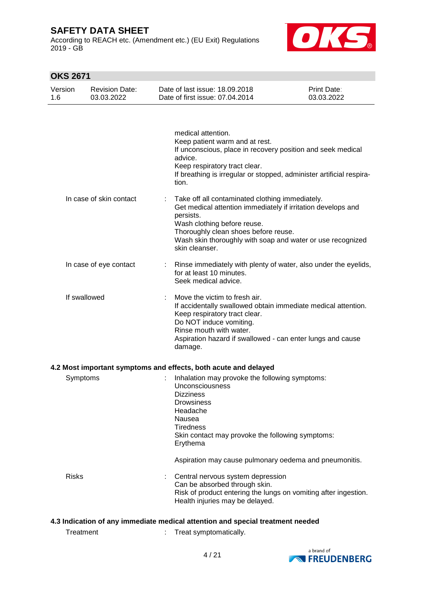According to REACH etc. (Amendment etc.) (EU Exit) Regulations 2019 - GB



| Version<br>1.6 |              | <b>Revision Date:</b><br>03.03.2022 | Date of last issue: 18.09.2018<br>Date of first issue: 07.04.2014                                                                                                                                                                                                                   | Print Date:<br>03.03.2022 |
|----------------|--------------|-------------------------------------|-------------------------------------------------------------------------------------------------------------------------------------------------------------------------------------------------------------------------------------------------------------------------------------|---------------------------|
|                |              |                                     | medical attention.<br>Keep patient warm and at rest.<br>If unconscious, place in recovery position and seek medical<br>advice.<br>Keep respiratory tract clear.<br>If breathing is irregular or stopped, administer artificial respira-<br>tion.                                    |                           |
|                |              | In case of skin contact             | Take off all contaminated clothing immediately.<br>Get medical attention immediately if irritation develops and<br>persists.<br>Wash clothing before reuse.<br>Thoroughly clean shoes before reuse.<br>Wash skin thoroughly with soap and water or use recognized<br>skin cleanser. |                           |
|                |              | In case of eye contact              | Rinse immediately with plenty of water, also under the eyelids,<br>for at least 10 minutes.<br>Seek medical advice.                                                                                                                                                                 |                           |
|                | If swallowed |                                     | Move the victim to fresh air.<br>If accidentally swallowed obtain immediate medical attention.<br>Keep respiratory tract clear.<br>Do NOT induce vomiting.<br>Rinse mouth with water.<br>Aspiration hazard if swallowed - can enter lungs and cause<br>damage.                      |                           |
|                |              |                                     | 4.2 Most important symptoms and effects, both acute and delayed                                                                                                                                                                                                                     |                           |
|                | Symptoms     |                                     | Inhalation may provoke the following symptoms:<br>Unconsciousness<br><b>Dizziness</b><br>Drowsiness<br>Headache<br>Nausea<br><b>Tiredness</b><br>Skin contact may provoke the following symptoms:<br>Erythema                                                                       |                           |
|                |              |                                     | Aspiration may cause pulmonary oedema and pneumonitis.                                                                                                                                                                                                                              |                           |
|                | <b>Risks</b> |                                     | Central nervous system depression<br>Can be absorbed through skin.<br>Risk of product entering the lungs on vomiting after ingestion.<br>Health injuries may be delayed.                                                                                                            |                           |
|                |              |                                     | 4.3 Indication of any immediate medical attention and special treatment needed                                                                                                                                                                                                      |                           |
|                | Treatment    |                                     | Treat symptomatically.                                                                                                                                                                                                                                                              |                           |

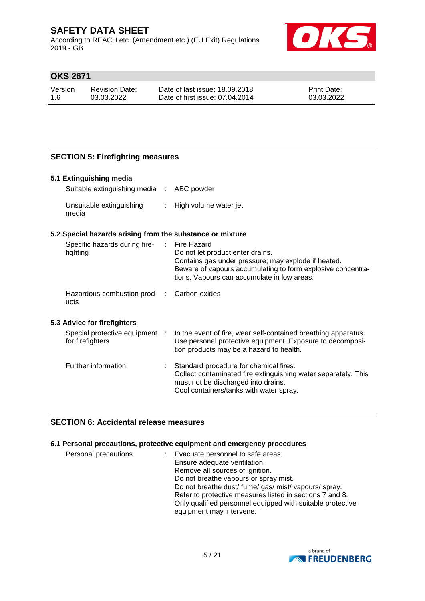According to REACH etc. (Amendment etc.) (EU Exit) Regulations 2019 - GB



## **OKS 2671**

| Version | Revision Date: | Date of last issue: 18.09.2018  | <b>Print Date:</b> |
|---------|----------------|---------------------------------|--------------------|
| 1.6     | 03.03.2022     | Date of first issue: 07.04.2014 | 03.03.2022         |

## **SECTION 5: Firefighting measures**

#### **5.1 Extinguishing media**

| Suitable extinguishing media : ABC powder |                         |
|-------------------------------------------|-------------------------|
| Unsuitable extinguishing<br>media         | : High volume water jet |

### **5.2 Special hazards arising from the substance or mixture**

| Specific hazards during fire-<br>fighting                   |           | Fire Hazard<br>Do not let product enter drains.<br>Contains gas under pressure; may explode if heated.<br>Beware of vapours accumulating to form explosive concentra-<br>tions. Vapours can accumulate in low areas. |
|-------------------------------------------------------------|-----------|----------------------------------------------------------------------------------------------------------------------------------------------------------------------------------------------------------------------|
| Hazardous combustion prod-<br>ucts                          |           | Carbon oxides                                                                                                                                                                                                        |
| 5.3 Advice for firefighters<br>Special protective equipment | $\cdot$ : | In the event of fire, wear self-contained breathing apparatus.                                                                                                                                                       |
| for firefighters                                            |           | Use personal protective equipment. Exposure to decomposi-<br>tion products may be a hazard to health.                                                                                                                |
| Further information                                         |           | Standard procedure for chemical fires.                                                                                                                                                                               |

## Collect contaminated fire extinguishing water separately. This must not be discharged into drains. Cool containers/tanks with water spray.

### **SECTION 6: Accidental release measures**

### **6.1 Personal precautions, protective equipment and emergency procedures**

| Personal precautions | : Evacuate personnel to safe areas.                        |
|----------------------|------------------------------------------------------------|
|                      | Ensure adequate ventilation.                               |
|                      | Remove all sources of ignition.                            |
|                      | Do not breathe vapours or spray mist.                      |
|                      | Do not breathe dust/ fume/ gas/ mist/ vapours/ spray.      |
|                      | Refer to protective measures listed in sections 7 and 8.   |
|                      | Only qualified personnel equipped with suitable protective |
|                      | equipment may intervene.                                   |
|                      |                                                            |

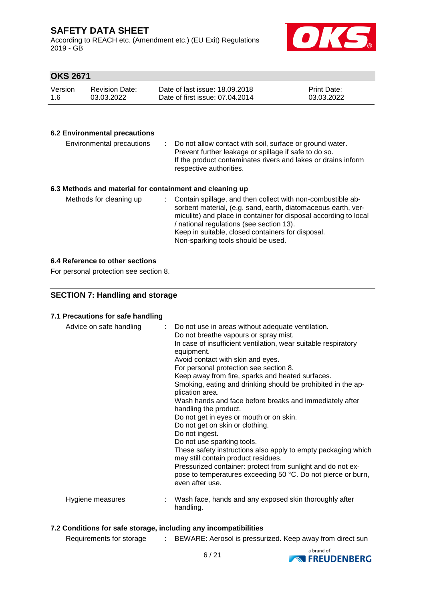According to REACH etc. (Amendment etc.) (EU Exit) Regulations 2019 - GB



## **OKS 2671**

| Version | <b>Revision Date:</b> | Date of last issue: 18.09.2018  | <b>Print Date:</b> |
|---------|-----------------------|---------------------------------|--------------------|
| 1.6     | 03.03.2022            | Date of first issue: 07.04.2014 | 03.03.2022         |

### **6.2 Environmental precautions**

| Environmental precautions                                | ÷. | Do not allow contact with soil, surface or ground water.<br>Prevent further leakage or spillage if safe to do so.<br>If the product contaminates rivers and lakes or drains inform<br>respective authorities.                                                                                     |
|----------------------------------------------------------|----|---------------------------------------------------------------------------------------------------------------------------------------------------------------------------------------------------------------------------------------------------------------------------------------------------|
| 6.3 Methods and material for containment and cleaning up |    |                                                                                                                                                                                                                                                                                                   |
| Methods for cleaning up                                  |    | Contain spillage, and then collect with non-combustible ab-<br>sorbent material, (e.g. sand, earth, diatomaceous earth, ver-<br>miculite) and place in container for disposal according to local<br>/ national regulations (see section 13).<br>Keep in suitable, closed containers for disposal. |

### Non-sparking tools should be used.

#### **6.4 Reference to other sections**

For personal protection see section 8.

### **SECTION 7: Handling and storage**

#### **7.1 Precautions for safe handling**

| Advice on safe handling | : Do not use in areas without adequate ventilation.<br>Do not breathe vapours or spray mist.<br>In case of insufficient ventilation, wear suitable respiratory<br>equipment.<br>Avoid contact with skin and eyes.<br>For personal protection see section 8.<br>Keep away from fire, sparks and heated surfaces.<br>Smoking, eating and drinking should be prohibited in the ap-<br>plication area.<br>Wash hands and face before breaks and immediately after<br>handling the product.<br>Do not get in eyes or mouth or on skin.<br>Do not get on skin or clothing.<br>Do not ingest.<br>Do not use sparking tools.<br>These safety instructions also apply to empty packaging which<br>may still contain product residues.<br>Pressurized container: protect from sunlight and do not ex-<br>pose to temperatures exceeding 50 °C. Do not pierce or burn,<br>even after use. |  |
|-------------------------|--------------------------------------------------------------------------------------------------------------------------------------------------------------------------------------------------------------------------------------------------------------------------------------------------------------------------------------------------------------------------------------------------------------------------------------------------------------------------------------------------------------------------------------------------------------------------------------------------------------------------------------------------------------------------------------------------------------------------------------------------------------------------------------------------------------------------------------------------------------------------------|--|
| Hygiene measures        | Wash face, hands and any exposed skin thoroughly after<br>handling.                                                                                                                                                                                                                                                                                                                                                                                                                                                                                                                                                                                                                                                                                                                                                                                                            |  |

### **7.2 Conditions for safe storage, including any incompatibilities**

Requirements for storage : BEWARE: Aerosol is pressurized. Keep away from direct sun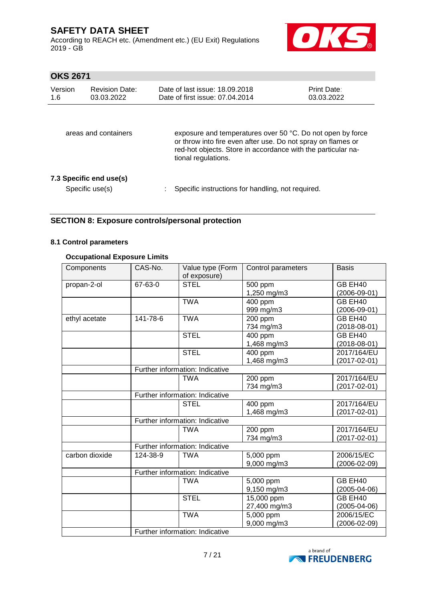According to REACH etc. (Amendment etc.) (EU Exit) Regulations 2019 - GB



# **OKS 2671**

| Version<br>1.6       | <b>Revision Date:</b><br>03.03.2022        | Date of last issue: 18.09.2018<br>Date of first issue: 07.04.2014                                                                                                                                                 | <b>Print Date:</b><br>03.03.2022 |
|----------------------|--------------------------------------------|-------------------------------------------------------------------------------------------------------------------------------------------------------------------------------------------------------------------|----------------------------------|
| areas and containers |                                            | exposure and temperatures over 50 °C. Do not open by force<br>or throw into fire even after use. Do not spray on flames or<br>red-hot objects. Store in accordance with the particular na-<br>tional regulations. |                                  |
|                      | 7.3 Specific end use(s)<br>Specific use(s) | Specific instructions for handling, not required.                                                                                                                                                                 |                                  |

### **SECTION 8: Exposure controls/personal protection**

### **8.1 Control parameters**

### **Occupational Exposure Limits**

| Components     | CAS-No.                         | Value type (Form<br>of exposure) | Control parameters   | <b>Basis</b>       |
|----------------|---------------------------------|----------------------------------|----------------------|--------------------|
| propan-2-ol    | 67-63-0                         | <b>STEL</b>                      | 500 ppm              | GB EH40            |
|                |                                 |                                  | 1,250 mg/m3          | $(2006 - 09 - 01)$ |
|                |                                 | <b>TWA</b>                       | 400 ppm              | GB EH40            |
|                |                                 |                                  | 999 mg/m3            | $(2006 - 09 - 01)$ |
| ethyl acetate  | 141-78-6                        | <b>TWA</b>                       | 200 ppm              | GB EH40            |
|                |                                 |                                  | 734 mg/m3            | $(2018-08-01)$     |
|                |                                 | <b>STEL</b>                      | $\overline{4}00$ ppm | GB EH40            |
|                |                                 |                                  | 1,468 mg/m3          | $(2018 - 08 - 01)$ |
|                |                                 | <b>STEL</b>                      | 400 ppm              | 2017/164/EU        |
|                |                                 |                                  | 1,468 mg/m3          | $(2017 - 02 - 01)$ |
|                |                                 | Further information: Indicative  |                      |                    |
|                |                                 | <b>TWA</b>                       | 200 ppm              | 2017/164/EU        |
|                |                                 |                                  | 734 mg/m3            | $(2017 - 02 - 01)$ |
|                |                                 | Further information: Indicative  |                      |                    |
|                |                                 | <b>STEL</b>                      | 400 ppm              | 2017/164/EU        |
|                |                                 |                                  | 1,468 mg/m3          | $(2017 - 02 - 01)$ |
|                |                                 | Further information: Indicative  |                      |                    |
|                |                                 | <b>TWA</b>                       | 200 ppm              | 2017/164/EU        |
|                |                                 |                                  | 734 mg/m3            | $(2017 - 02 - 01)$ |
|                |                                 | Further information: Indicative  |                      |                    |
| carbon dioxide | 124-38-9                        | <b>TWA</b>                       | 5,000 ppm            | 2006/15/EC         |
|                |                                 |                                  | 9,000 mg/m3          | $(2006 - 02 - 09)$ |
|                |                                 | Further information: Indicative  |                      |                    |
|                |                                 | <b>TWA</b>                       | $5,000$ ppm          | GB EH40            |
|                |                                 |                                  | 9,150 mg/m3          | $(2005 - 04 - 06)$ |
|                |                                 | <b>STEL</b>                      | 15,000 ppm           | GB EH40            |
|                |                                 |                                  | 27,400 mg/m3         | $(2005 - 04 - 06)$ |
|                |                                 | <b>TWA</b>                       | 5,000 ppm            | 2006/15/EC         |
|                |                                 |                                  | 9,000 mg/m3          | $(2006 - 02 - 09)$ |
|                | Further information: Indicative |                                  |                      |                    |

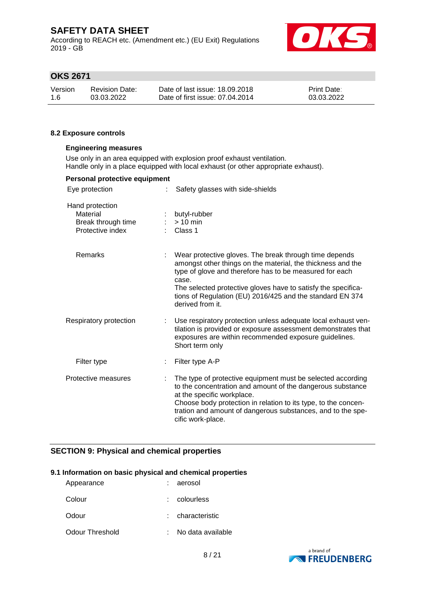According to REACH etc. (Amendment etc.) (EU Exit) Regulations 2019 - GB



## **OKS 2671**

| Version | <b>Revision Date:</b> | Date of last issue: 18,09,2018  | <b>Print Date:</b> |
|---------|-----------------------|---------------------------------|--------------------|
| -1.6    | 03.03.2022            | Date of first issue: 07.04.2014 | 03.03.2022         |

#### **8.2 Exposure controls**

#### **Engineering measures**

Use only in an area equipped with explosion proof exhaust ventilation. Handle only in a place equipped with local exhaust (or other appropriate exhaust).

| Personal protective equipment                                         |                                                                                                                                                                                                                                                                                                                                             |
|-----------------------------------------------------------------------|---------------------------------------------------------------------------------------------------------------------------------------------------------------------------------------------------------------------------------------------------------------------------------------------------------------------------------------------|
| Eye protection                                                        | Safety glasses with side-shields                                                                                                                                                                                                                                                                                                            |
| Hand protection<br>Material<br>Break through time<br>Protective index | butyl-rubber<br>$> 10$ min<br>Class 1                                                                                                                                                                                                                                                                                                       |
| Remarks                                                               | Wear protective gloves. The break through time depends<br>amongst other things on the material, the thickness and the<br>type of glove and therefore has to be measured for each<br>case.<br>The selected protective gloves have to satisfy the specifica-<br>tions of Regulation (EU) 2016/425 and the standard EN 374<br>derived from it. |
| Respiratory protection                                                | Use respiratory protection unless adequate local exhaust ven-<br>tilation is provided or exposure assessment demonstrates that<br>exposures are within recommended exposure guidelines.<br>Short term only                                                                                                                                  |
| Filter type                                                           | Filter type A-P                                                                                                                                                                                                                                                                                                                             |
| Protective measures                                                   | The type of protective equipment must be selected according<br>to the concentration and amount of the dangerous substance<br>at the specific workplace.<br>Choose body protection in relation to its type, to the concen-<br>tration and amount of dangerous substances, and to the spe-<br>cific work-place.                               |

### **SECTION 9: Physical and chemical properties**

### **9.1 Information on basic physical and chemical properties**

| Appearance      | : aerosol         |
|-----------------|-------------------|
| Colour          | : colourless      |
| Odour           | characteristic    |
| Odour Threshold | No data available |

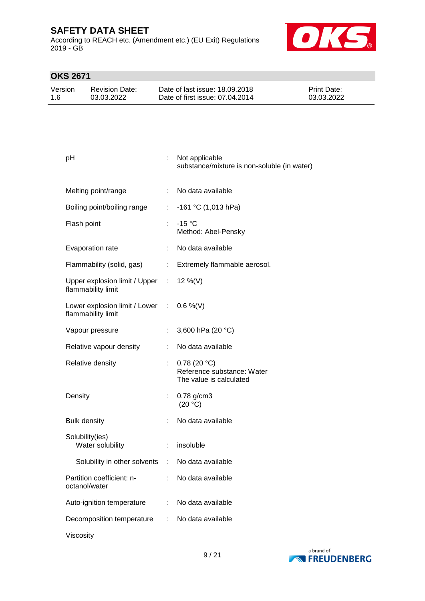According to REACH etc. (Amendment etc.) (EU Exit) Regulations 2019 - GB



| Version | <b>Revision Date:</b> | Date of last issue: 18,09,2018  | <b>Print Date:</b> |
|---------|-----------------------|---------------------------------|--------------------|
| 1.6     | 03.03.2022            | Date of first issue: 07.04.2014 | 03.03.2022         |

| рH                                                                |    | Not applicable<br>substance/mixture is non-soluble (in water)        |
|-------------------------------------------------------------------|----|----------------------------------------------------------------------|
| Melting point/range                                               |    | : No data available                                                  |
| Boiling point/boiling range                                       |    | : $-161$ °C (1,013 hPa)                                              |
| Flash point                                                       | ÷. | $-15 °C$<br>Method: Abel-Pensky                                      |
| Evaporation rate                                                  |    | : No data available                                                  |
|                                                                   |    | Flammability (solid, gas) : Extremely flammable aerosol.             |
| Upper explosion limit / Upper : 12 %(V)<br>flammability limit     |    |                                                                      |
| Lower explosion limit / Lower : $0.6\%$ (V)<br>flammability limit |    |                                                                      |
| Vapour pressure                                                   |    | 3,600 hPa (20 °C)                                                    |
| Relative vapour density                                           |    | No data available                                                    |
| Relative density                                                  |    | 0.78(20 °C)<br>Reference substance: Water<br>The value is calculated |
| Density                                                           |    | $0.78$ g/cm3<br>(20 °C)                                              |
| <b>Bulk density</b>                                               |    | No data available                                                    |
| Solubility(ies)<br>Water solubility                               |    | insoluble                                                            |
| Solubility in other solvents : No data available                  |    |                                                                      |
| Partition coefficient: n-<br>octanol/water                        |    | No data available                                                    |
| Auto-ignition temperature                                         |    | No data available                                                    |
| Decomposition temperature                                         | ÷. | No data available                                                    |
| Viscosity                                                         |    |                                                                      |

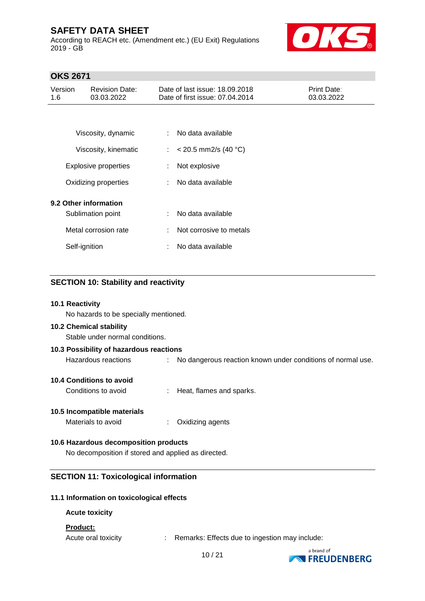According to REACH etc. (Amendment etc.) (EU Exit) Regulations 2019 - GB



## **OKS 2671**

| Version<br>1.6 | <b>Revision Date:</b><br>03.03.2022 | Date of last issue: 18.09.2018<br>Date of first issue: 07.04.2014 | Print Date:<br>03.03.2022 |
|----------------|-------------------------------------|-------------------------------------------------------------------|---------------------------|
|                |                                     |                                                                   |                           |
|                | Viscosity, dynamic                  | No data available                                                 |                           |
|                | Viscosity, kinematic                | : $< 20.5$ mm2/s (40 °C)                                          |                           |
|                | <b>Explosive properties</b>         | Not explosive                                                     |                           |
|                | Oxidizing properties                | No data available                                                 |                           |
|                | 9.2 Other information               |                                                                   |                           |
|                | Sublimation point                   | No data available                                                 |                           |
|                | Metal corrosion rate                | Not corrosive to metals                                           |                           |
|                | Self-ignition                       | No data available                                                 |                           |

## **SECTION 10: Stability and reactivity**

#### **10.1 Reactivity**

No hazards to be specially mentioned.

### **10.2 Chemical stability**

Stable under normal conditions.

#### **10.3 Possibility of hazardous reactions**

Hazardous reactions : No dangerous reaction known under conditions of normal use.

### **10.4 Conditions to avoid**

Conditions to avoid : Heat, flames and sparks.

### **10.5 Incompatible materials**

Materials to avoid : Oxidizing agents

### **10.6 Hazardous decomposition products**

No decomposition if stored and applied as directed.

### **SECTION 11: Toxicological information**

### **11.1 Information on toxicological effects**

#### **Acute toxicity**

### **Product:**

Acute oral toxicity : Remarks: Effects due to ingestion may include:

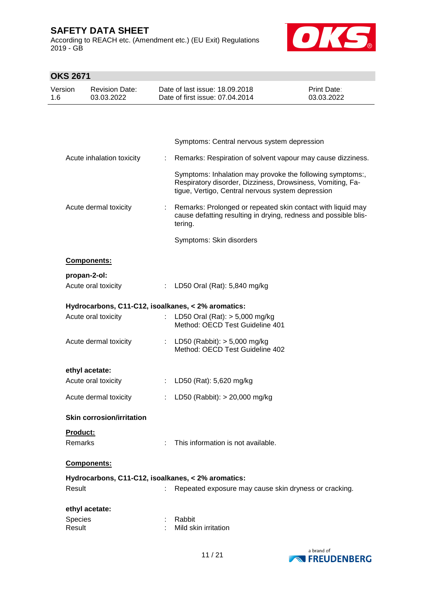According to REACH etc. (Amendment etc.) (EU Exit) Regulations 2019 - GB



| Version<br>Date of last issue: 18.09.2018<br><b>Print Date:</b><br><b>Revision Date:</b><br>Date of first issue: 07.04.2014<br>03.03.2022<br>03.03.2022<br>1.6<br>Symptoms: Central nervous system depression<br>Remarks: Respiration of solvent vapour may cause dizziness.<br>Acute inhalation toxicity<br>÷<br>Symptoms: Inhalation may provoke the following symptoms:,<br>Respiratory disorder, Dizziness, Drowsiness, Vomiting, Fa-<br>tigue, Vertigo, Central nervous system depression<br>Remarks: Prolonged or repeated skin contact with liquid may<br>Acute dermal toxicity<br>cause defatting resulting in drying, redness and possible blis-<br>tering.<br>Symptoms: Skin disorders<br>Components:<br>propan-2-ol:<br>Acute oral toxicity<br>LD50 Oral (Rat): 5,840 mg/kg<br>÷.<br>Hydrocarbons, C11-C12, isoalkanes, < 2% aromatics:<br>Acute oral toxicity<br>LD50 Oral (Rat): $> 5,000$ mg/kg<br>$\mathbb{R}^n$<br>Method: OECD Test Guideline 401 |  |
|--------------------------------------------------------------------------------------------------------------------------------------------------------------------------------------------------------------------------------------------------------------------------------------------------------------------------------------------------------------------------------------------------------------------------------------------------------------------------------------------------------------------------------------------------------------------------------------------------------------------------------------------------------------------------------------------------------------------------------------------------------------------------------------------------------------------------------------------------------------------------------------------------------------------------------------------------------------------|--|
|                                                                                                                                                                                                                                                                                                                                                                                                                                                                                                                                                                                                                                                                                                                                                                                                                                                                                                                                                                    |  |
|                                                                                                                                                                                                                                                                                                                                                                                                                                                                                                                                                                                                                                                                                                                                                                                                                                                                                                                                                                    |  |
|                                                                                                                                                                                                                                                                                                                                                                                                                                                                                                                                                                                                                                                                                                                                                                                                                                                                                                                                                                    |  |
|                                                                                                                                                                                                                                                                                                                                                                                                                                                                                                                                                                                                                                                                                                                                                                                                                                                                                                                                                                    |  |
|                                                                                                                                                                                                                                                                                                                                                                                                                                                                                                                                                                                                                                                                                                                                                                                                                                                                                                                                                                    |  |
|                                                                                                                                                                                                                                                                                                                                                                                                                                                                                                                                                                                                                                                                                                                                                                                                                                                                                                                                                                    |  |
|                                                                                                                                                                                                                                                                                                                                                                                                                                                                                                                                                                                                                                                                                                                                                                                                                                                                                                                                                                    |  |
|                                                                                                                                                                                                                                                                                                                                                                                                                                                                                                                                                                                                                                                                                                                                                                                                                                                                                                                                                                    |  |
|                                                                                                                                                                                                                                                                                                                                                                                                                                                                                                                                                                                                                                                                                                                                                                                                                                                                                                                                                                    |  |
|                                                                                                                                                                                                                                                                                                                                                                                                                                                                                                                                                                                                                                                                                                                                                                                                                                                                                                                                                                    |  |
|                                                                                                                                                                                                                                                                                                                                                                                                                                                                                                                                                                                                                                                                                                                                                                                                                                                                                                                                                                    |  |
|                                                                                                                                                                                                                                                                                                                                                                                                                                                                                                                                                                                                                                                                                                                                                                                                                                                                                                                                                                    |  |
| Acute dermal toxicity<br>LD50 (Rabbit): $> 5,000$ mg/kg<br>÷.<br>Method: OECD Test Guideline 402                                                                                                                                                                                                                                                                                                                                                                                                                                                                                                                                                                                                                                                                                                                                                                                                                                                                   |  |
| ethyl acetate:                                                                                                                                                                                                                                                                                                                                                                                                                                                                                                                                                                                                                                                                                                                                                                                                                                                                                                                                                     |  |
| Acute oral toxicity<br>LD50 (Rat): 5,620 mg/kg                                                                                                                                                                                                                                                                                                                                                                                                                                                                                                                                                                                                                                                                                                                                                                                                                                                                                                                     |  |
| Acute dermal toxicity<br>LD50 (Rabbit): > 20,000 mg/kg<br>$\mathbb{Z}^{\mathbb{Z}}$ .                                                                                                                                                                                                                                                                                                                                                                                                                                                                                                                                                                                                                                                                                                                                                                                                                                                                              |  |
| <b>Skin corrosion/irritation</b>                                                                                                                                                                                                                                                                                                                                                                                                                                                                                                                                                                                                                                                                                                                                                                                                                                                                                                                                   |  |
| Product:                                                                                                                                                                                                                                                                                                                                                                                                                                                                                                                                                                                                                                                                                                                                                                                                                                                                                                                                                           |  |
| Remarks<br>This information is not available.                                                                                                                                                                                                                                                                                                                                                                                                                                                                                                                                                                                                                                                                                                                                                                                                                                                                                                                      |  |
| Components:                                                                                                                                                                                                                                                                                                                                                                                                                                                                                                                                                                                                                                                                                                                                                                                                                                                                                                                                                        |  |
| Hydrocarbons, C11-C12, isoalkanes, < 2% aromatics:                                                                                                                                                                                                                                                                                                                                                                                                                                                                                                                                                                                                                                                                                                                                                                                                                                                                                                                 |  |
| Result<br>Repeated exposure may cause skin dryness or cracking.<br>÷                                                                                                                                                                                                                                                                                                                                                                                                                                                                                                                                                                                                                                                                                                                                                                                                                                                                                               |  |
| ethyl acetate:                                                                                                                                                                                                                                                                                                                                                                                                                                                                                                                                                                                                                                                                                                                                                                                                                                                                                                                                                     |  |
| Species<br>Rabbit<br>Result<br>Mild skin irritation                                                                                                                                                                                                                                                                                                                                                                                                                                                                                                                                                                                                                                                                                                                                                                                                                                                                                                                |  |

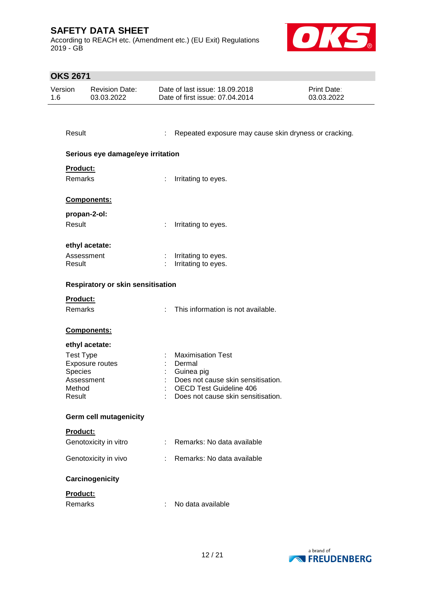According to REACH etc. (Amendment etc.) (EU Exit) Regulations 2019 - GB



| Version<br>1.6 | <b>Revision Date:</b><br>03.03.2022 |    | Date of last issue: 18.09.2018<br>Print Date:<br>Date of first issue: 07.04.2014<br>03.03.2022 |  |  |  |  |
|----------------|-------------------------------------|----|------------------------------------------------------------------------------------------------|--|--|--|--|
|                |                                     |    |                                                                                                |  |  |  |  |
|                | Result                              |    | Repeated exposure may cause skin dryness or cracking.                                          |  |  |  |  |
|                | Serious eye damage/eye irritation   |    |                                                                                                |  |  |  |  |
|                | Product:                            |    |                                                                                                |  |  |  |  |
|                | Remarks                             | ÷. | Irritating to eyes.                                                                            |  |  |  |  |
|                | <b>Components:</b>                  |    |                                                                                                |  |  |  |  |
|                | propan-2-ol:                        |    |                                                                                                |  |  |  |  |
|                | Result                              | ÷  | Irritating to eyes.                                                                            |  |  |  |  |
|                | ethyl acetate:                      |    |                                                                                                |  |  |  |  |
|                | Assessment                          |    | : Irritating to eyes.                                                                          |  |  |  |  |
|                | Result                              | ÷. | Irritating to eyes.                                                                            |  |  |  |  |
|                | Respiratory or skin sensitisation   |    |                                                                                                |  |  |  |  |
|                | Product:                            |    |                                                                                                |  |  |  |  |
|                | Remarks                             |    | This information is not available.                                                             |  |  |  |  |
|                | Components:                         |    |                                                                                                |  |  |  |  |
|                | ethyl acetate:                      |    |                                                                                                |  |  |  |  |
|                | <b>Test Type</b>                    |    | <b>Maximisation Test</b>                                                                       |  |  |  |  |
|                | Exposure routes                     |    | Dermal                                                                                         |  |  |  |  |
|                | Species<br>Assessment               |    | Guinea pig<br>Does not cause skin sensitisation.                                               |  |  |  |  |
|                | Method                              |    | <b>OECD Test Guideline 406</b>                                                                 |  |  |  |  |
|                | Result                              |    | Does not cause skin sensitisation.                                                             |  |  |  |  |
|                | <b>Germ cell mutagenicity</b>       |    |                                                                                                |  |  |  |  |
|                | <b>Product:</b>                     |    |                                                                                                |  |  |  |  |
|                | Genotoxicity in vitro               |    | Remarks: No data available                                                                     |  |  |  |  |
|                | Genotoxicity in vivo                | t. | Remarks: No data available                                                                     |  |  |  |  |
|                | Carcinogenicity                     |    |                                                                                                |  |  |  |  |
|                | Product:                            |    |                                                                                                |  |  |  |  |
|                | Remarks                             | ÷  | No data available                                                                              |  |  |  |  |

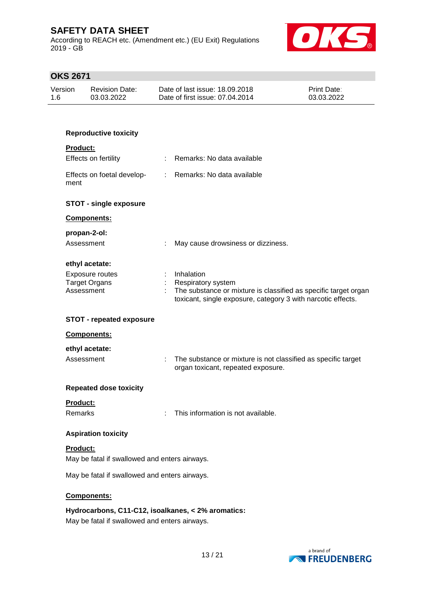According to REACH etc. (Amendment etc.) (EU Exit) Regulations 2019 - GB



| <b>OKS 2671</b>            |                                                           |   |                                                                                                                                                                     |                                  |
|----------------------------|-----------------------------------------------------------|---|---------------------------------------------------------------------------------------------------------------------------------------------------------------------|----------------------------------|
| Version                    | <b>Revision Date:</b><br>03.03.2022                       |   | Date of last issue: 18.09.2018<br>Date of first issue: 07.04.2014                                                                                                   | <b>Print Date:</b><br>03.03.2022 |
|                            |                                                           |   |                                                                                                                                                                     |                                  |
|                            | <b>Reproductive toxicity</b>                              |   |                                                                                                                                                                     |                                  |
| Product:                   | Effects on fertility                                      |   | Remarks: No data available                                                                                                                                          |                                  |
| ment                       | Effects on foetal develop-                                |   | : Remarks: No data available                                                                                                                                        |                                  |
|                            | <b>STOT - single exposure</b>                             |   |                                                                                                                                                                     |                                  |
|                            | Components:                                               |   |                                                                                                                                                                     |                                  |
| propan-2-ol:<br>Assessment |                                                           |   | May cause drowsiness or dizziness.                                                                                                                                  |                                  |
| Assessment                 | ethyl acetate:<br>Exposure routes<br><b>Target Organs</b> |   | Inhalation<br>Respiratory system<br>The substance or mixture is classified as specific target organ<br>toxicant, single exposure, category 3 with narcotic effects. |                                  |
|                            | <b>STOT - repeated exposure</b>                           |   |                                                                                                                                                                     |                                  |
|                            | Components:                                               |   |                                                                                                                                                                     |                                  |
| Assessment                 | ethyl acetate:                                            | ÷ | The substance or mixture is not classified as specific target<br>organ toxicant, repeated exposure.                                                                 |                                  |
|                            | <b>Repeated dose toxicity</b>                             |   |                                                                                                                                                                     |                                  |
| Product:<br><b>Remarks</b> |                                                           |   | This information is not available.                                                                                                                                  |                                  |
|                            | <b>Aspiration toxicity</b>                                |   |                                                                                                                                                                     |                                  |
| Product:                   |                                                           |   |                                                                                                                                                                     |                                  |
|                            | May be fatal if swallowed and enters airways.             |   |                                                                                                                                                                     |                                  |
|                            | May be fatal if swallowed and enters airways.             |   |                                                                                                                                                                     |                                  |
|                            | Components:                                               |   |                                                                                                                                                                     |                                  |
|                            | May be fatal if swallowed and enters airways.             |   | Hydrocarbons, C11-C12, isoalkanes, < 2% aromatics:                                                                                                                  |                                  |

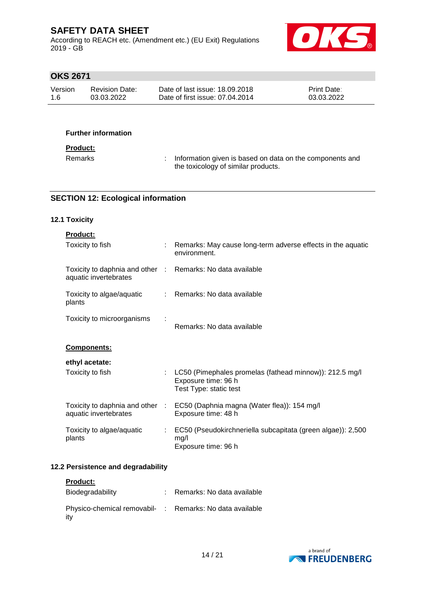According to REACH etc. (Amendment etc.) (EU Exit) Regulations 2019 - GB



# **OKS 2671**

| Version | <b>Revision Date:</b> | Date of last issue: 18,09,2018  | <b>Print Date:</b> |
|---------|-----------------------|---------------------------------|--------------------|
| -1.6    | 03.03.2022            | Date of first issue: 07.04.2014 | 03.03.2022         |

### **Further information**

#### **Product:**

Remarks : Information given is based on data on the components and the toxicology of similar products.

### **SECTION 12: Ecological information**

### **12.1 Toxicity**

| <b>Product:</b>                                                                     |                                                                                                            |
|-------------------------------------------------------------------------------------|------------------------------------------------------------------------------------------------------------|
| Toxicity to fish                                                                    | : Remarks: May cause long-term adverse effects in the aquatic<br>environment.                              |
| Toxicity to daphnia and other : Remarks: No data available<br>aquatic invertebrates |                                                                                                            |
| Toxicity to algae/aquatic<br>plants                                                 | : Remarks: No data available                                                                               |
| Toxicity to microorganisms                                                          | Remarks: No data available                                                                                 |
| Components:                                                                         |                                                                                                            |
| ethyl acetate:                                                                      |                                                                                                            |
| Toxicity to fish                                                                    | : LC50 (Pimephales promelas (fathead minnow)): 212.5 mg/l<br>Exposure time: 96 h<br>Test Type: static test |
| aquatic invertebrates                                                               | Toxicity to daphnia and other : EC50 (Daphnia magna (Water flea)): 154 mg/l<br>Exposure time: 48 h         |
| Toxicity to algae/aquatic<br>plants                                                 | : EC50 (Pseudokirchneriella subcapitata (green algae)): 2,500<br>mg/l<br>Exposure time: 96 h               |

### **12.2 Persistence and degradability**

| <b>Product:</b>                                                 |                              |
|-----------------------------------------------------------------|------------------------------|
| Biodegradability                                                | : Remarks: No data available |
| Physico-chemical removabil- : Remarks: No data available<br>ity |                              |

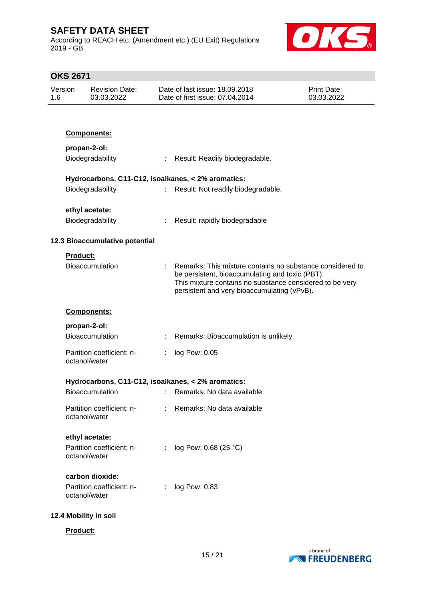According to REACH etc. (Amendment etc.) (EU Exit) Regulations 2019 - GB



| Version<br>1.6 |                                                    | <b>Revision Date:</b><br>03.03.2022        | Date of last issue: 18.09.2018<br>Date of first issue: 07.04.2014 | <b>Print Date:</b><br>03.03.2022                                                                                                                                                                                        |  |  |
|----------------|----------------------------------------------------|--------------------------------------------|-------------------------------------------------------------------|-------------------------------------------------------------------------------------------------------------------------------------------------------------------------------------------------------------------------|--|--|
|                |                                                    |                                            |                                                                   |                                                                                                                                                                                                                         |  |  |
|                |                                                    | Components:                                |                                                                   |                                                                                                                                                                                                                         |  |  |
|                |                                                    | propan-2-ol:                               |                                                                   |                                                                                                                                                                                                                         |  |  |
|                |                                                    | Biodegradability                           | ÷                                                                 | Result: Readily biodegradable.                                                                                                                                                                                          |  |  |
|                | Hydrocarbons, C11-C12, isoalkanes, < 2% aromatics: |                                            |                                                                   |                                                                                                                                                                                                                         |  |  |
|                |                                                    | Biodegradability                           | $\mathbb{Z}^{\times}$                                             | Result: Not readily biodegradable.                                                                                                                                                                                      |  |  |
|                |                                                    | ethyl acetate:                             |                                                                   |                                                                                                                                                                                                                         |  |  |
|                |                                                    | Biodegradability                           | ÷                                                                 | Result: rapidly biodegradable                                                                                                                                                                                           |  |  |
|                |                                                    | 12.3 Bioaccumulative potential             |                                                                   |                                                                                                                                                                                                                         |  |  |
|                | Product:                                           |                                            |                                                                   |                                                                                                                                                                                                                         |  |  |
|                |                                                    | Bioaccumulation                            | t.                                                                | Remarks: This mixture contains no substance considered to<br>be persistent, bioaccumulating and toxic (PBT).<br>This mixture contains no substance considered to be very<br>persistent and very bioaccumulating (vPvB). |  |  |
|                |                                                    | Components:                                |                                                                   |                                                                                                                                                                                                                         |  |  |
|                |                                                    | propan-2-ol:                               |                                                                   |                                                                                                                                                                                                                         |  |  |
|                |                                                    | <b>Bioaccumulation</b>                     |                                                                   | Remarks: Bioaccumulation is unlikely.                                                                                                                                                                                   |  |  |
|                |                                                    | Partition coefficient: n-<br>octanol/water |                                                                   | log Pow: 0.05                                                                                                                                                                                                           |  |  |
|                |                                                    |                                            |                                                                   | Hydrocarbons, C11-C12, isoalkanes, < 2% aromatics:                                                                                                                                                                      |  |  |
|                |                                                    | Bioaccumulation                            |                                                                   | Remarks: No data available                                                                                                                                                                                              |  |  |
|                |                                                    | Partition coefficient: n-<br>octanol/water |                                                                   | Remarks: No data available                                                                                                                                                                                              |  |  |
|                |                                                    | ethyl acetate:                             |                                                                   |                                                                                                                                                                                                                         |  |  |
|                |                                                    | Partition coefficient: n-<br>octanol/water |                                                                   | log Pow: 0.68 (25 °C)                                                                                                                                                                                                   |  |  |
|                |                                                    | carbon dioxide:                            |                                                                   |                                                                                                                                                                                                                         |  |  |
|                |                                                    | Partition coefficient: n-<br>octanol/water |                                                                   | log Pow: 0.83                                                                                                                                                                                                           |  |  |
|                | 12.4 Mobility in soil                              |                                            |                                                                   |                                                                                                                                                                                                                         |  |  |
|                | Product:                                           |                                            |                                                                   |                                                                                                                                                                                                                         |  |  |

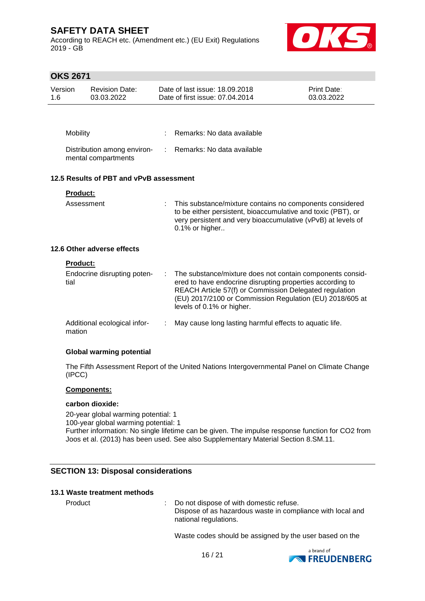According to REACH etc. (Amendment etc.) (EU Exit) Regulations 2019 - GB



# **OKS 2671**

| Version<br>1.6                          |                 | <b>Revision Date:</b><br>03.03.2022                |    | Date of last issue: 18.09.2018<br>Date of first issue: 07.04.2014                                                                                                                                                                                                         | Print Date:<br>03.03.2022 |
|-----------------------------------------|-----------------|----------------------------------------------------|----|---------------------------------------------------------------------------------------------------------------------------------------------------------------------------------------------------------------------------------------------------------------------------|---------------------------|
|                                         |                 |                                                    |    |                                                                                                                                                                                                                                                                           |                           |
|                                         | Mobility        |                                                    |    | Remarks: No data available                                                                                                                                                                                                                                                |                           |
|                                         |                 | Distribution among environ-<br>mental compartments | t. | Remarks: No data available                                                                                                                                                                                                                                                |                           |
| 12.5 Results of PBT and vPvB assessment |                 |                                                    |    |                                                                                                                                                                                                                                                                           |                           |
|                                         | <b>Product:</b> |                                                    |    |                                                                                                                                                                                                                                                                           |                           |
|                                         | Assessment      |                                                    |    | This substance/mixture contains no components considered<br>to be either persistent, bioaccumulative and toxic (PBT), or<br>very persistent and very bioaccumulative (vPvB) at levels of<br>0.1% or higher                                                                |                           |
|                                         |                 | 12.6 Other adverse effects                         |    |                                                                                                                                                                                                                                                                           |                           |
|                                         | <b>Product:</b> |                                                    |    |                                                                                                                                                                                                                                                                           |                           |
|                                         | tial            | Endocrine disrupting poten-                        |    | The substance/mixture does not contain components consid-<br>ered to have endocrine disrupting properties according to<br>REACH Article 57(f) or Commission Delegated regulation<br>(EU) 2017/2100 or Commission Regulation (EU) 2018/605 at<br>levels of 0.1% or higher. |                           |
|                                         | mation          | Additional ecological infor-                       | ÷  | May cause long lasting harmful effects to aquatic life.                                                                                                                                                                                                                   |                           |

#### **Global warming potential**

The Fifth Assessment Report of the United Nations Intergovernmental Panel on Climate Change (IPCC)

### **Components:**

#### **carbon dioxide:**

20-year global warming potential: 1 100-year global warming potential: 1 Further information: No single lifetime can be given. The impulse response function for CO2 from Joos et al. (2013) has been used. See also Supplementary Material Section 8.SM.11.

### **SECTION 13: Disposal considerations**

#### **13.1 Waste treatment methods**

Product : Do not dispose of with domestic refuse. Dispose of as hazardous waste in compliance with local and national regulations.

Waste codes should be assigned by the user based on the

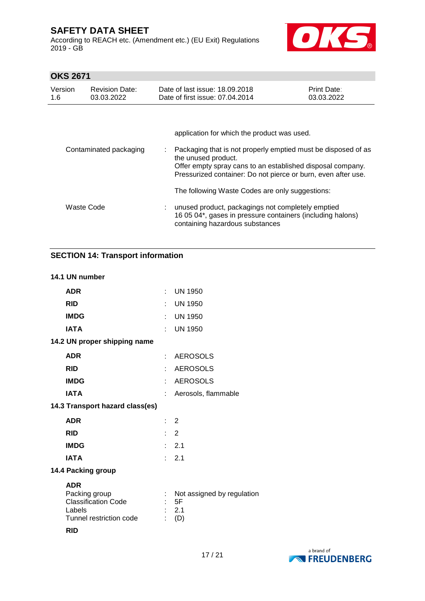According to REACH etc. (Amendment etc.) (EU Exit) Regulations 2019 - GB



# **OKS 2671**

| Version<br>1.6 | <b>Revision Date:</b><br>03.03.2022 | Date of last issue: 18.09.2018<br>Date of first issue: 07.04.2014                                                                                  | Print Date:<br>03.03.2022 |  |  |
|----------------|-------------------------------------|----------------------------------------------------------------------------------------------------------------------------------------------------|---------------------------|--|--|
|                | Contaminated packaging              | application for which the product was used.<br>Packaging that is not properly emptied must be disposed of as                                       |                           |  |  |
|                |                                     | the unused product.<br>Offer empty spray cans to an established disposal company.<br>Pressurized container: Do not pierce or burn, even after use. |                           |  |  |
|                |                                     | The following Waste Codes are only suggestions:                                                                                                    |                           |  |  |
| Waste Code     |                                     | unused product, packagings not completely emptied<br>16 05 04*, gases in pressure containers (including halons)<br>containing hazardous substances |                           |  |  |

# **SECTION 14: Transport information**

#### **14.1 UN number**

| <b>ADR</b>                                                                                     |                | $:$ UN 1950                                    |
|------------------------------------------------------------------------------------------------|----------------|------------------------------------------------|
| <b>RID</b>                                                                                     |                | : UN 1950                                      |
| <b>IMDG</b>                                                                                    |                | : UN 1950                                      |
| <b>IATA</b>                                                                                    |                | : UN 1950                                      |
| 14.2 UN proper shipping name                                                                   |                |                                                |
| <b>ADR</b>                                                                                     |                | : AEROSOLS                                     |
| <b>RID</b>                                                                                     |                | : AEROSOLS                                     |
| <b>IMDG</b>                                                                                    |                | : AEROSOLS                                     |
| <b>IATA</b>                                                                                    |                | : Aerosols, flammable                          |
| 14.3 Transport hazard class(es)                                                                |                |                                                |
| <b>ADR</b>                                                                                     | $\therefore$ 2 |                                                |
| <b>RID</b>                                                                                     | $\therefore$ 2 |                                                |
| <b>IMDG</b>                                                                                    |                | : 2.1                                          |
| <b>IATA</b>                                                                                    |                | : 2.1                                          |
| 14.4 Packing group                                                                             |                |                                                |
| <b>ADR</b><br>Packing group<br><b>Classification Code</b><br>Labels<br>Tunnel restriction code |                | Not assigned by regulation<br>5F<br>2.1<br>(D) |
| <b>RID</b>                                                                                     |                |                                                |

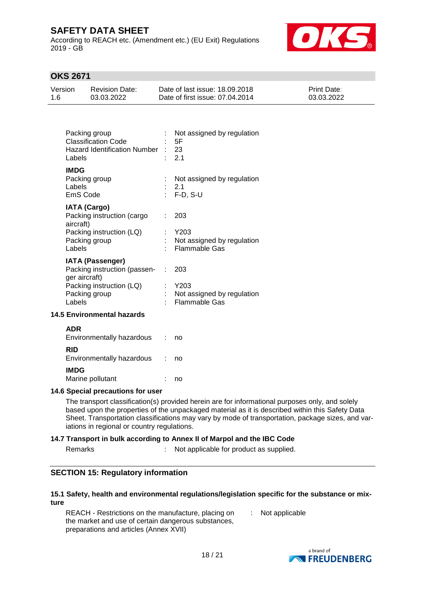According to REACH etc. (Amendment etc.) (EU Exit) Regulations 2019 - GB



## **OKS 2671**

| Version | <b>Revision Date:</b> | Date of last issue: 18.09.2018  | <b>Print Date:</b> |
|---------|-----------------------|---------------------------------|--------------------|
| 1.6     | 03.03.2022            | Date of first issue: 07.04.2014 | 03.03.2022         |

| Packing group<br><b>Classification Code</b><br><b>Hazard Identification Number</b><br>Labels | Not assigned by regulation<br>5F<br>: 23<br>2.1            |
|----------------------------------------------------------------------------------------------|------------------------------------------------------------|
| <b>IMDG</b><br>Packing group<br>Labels<br>EmS Code                                           | Not assigned by regulation<br>2.1<br>: F-D, S-U            |
| <b>IATA (Cargo)</b><br>Packing instruction (cargo<br>aircraft)                               | 203                                                        |
| Packing instruction (LQ)<br>Packing group<br>Labels                                          | Y203<br>Not assigned by regulation<br><b>Flammable Gas</b> |
| <b>IATA (Passenger)</b><br>Packing instruction (passen-                                      | 203                                                        |
| ger aircraft)<br>Packing instruction (LQ)                                                    | Y203                                                       |
| Packing group<br>Labels                                                                      | Not assigned by regulation<br><b>Flammable Gas</b>         |
| <b>14.5 Environmental hazards</b>                                                            |                                                            |
| <b>ADR</b><br>Environmentally hazardous                                                      | no                                                         |

|                                         | .  |
|-----------------------------------------|----|
| <b>RID</b><br>Environmentally hazardous | no |
| <b>IMDG</b><br>Marine pollutant         | no |

#### **14.6 Special precautions for user**

The transport classification(s) provided herein are for informational purposes only, and solely based upon the properties of the unpackaged material as it is described within this Safety Data Sheet. Transportation classifications may vary by mode of transportation, package sizes, and variations in regional or country regulations.

#### **14.7 Transport in bulk according to Annex II of Marpol and the IBC Code**

Remarks : Not applicable for product as supplied.

## **SECTION 15: Regulatory information**

#### **15.1 Safety, health and environmental regulations/legislation specific for the substance or mixture**

REACH - Restrictions on the manufacture, placing on the market and use of certain dangerous substances, preparations and articles (Annex XVII) : Not applicable

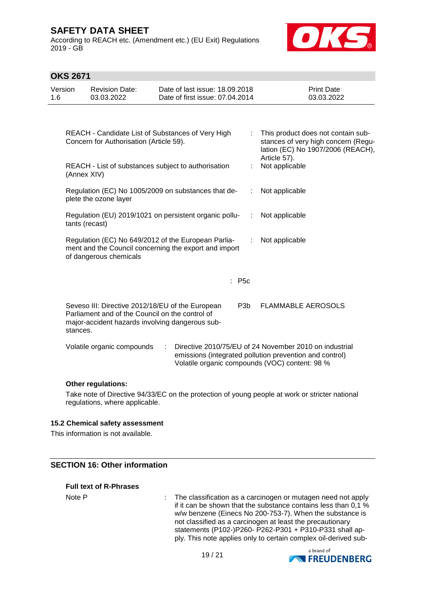According to REACH etc. (Amendment etc.) (EU Exit) Regulations 2019 - GB



## **OKS 2671**

| Version<br>1.6 | <b>Revision Date:</b><br>03.03.2022                                                                                                                                                                    | Date of last issue: 18.09.2018<br>Date of first issue: 07.04.2014                                            |                  | Print Date:<br>03.03.2022                                                                                      |  |
|----------------|--------------------------------------------------------------------------------------------------------------------------------------------------------------------------------------------------------|--------------------------------------------------------------------------------------------------------------|------------------|----------------------------------------------------------------------------------------------------------------|--|
|                | Concern for Authorisation (Article 59).                                                                                                                                                                | REACH - Candidate List of Substances of Very High                                                            |                  | This product does not contain sub-<br>stances of very high concern (Regu-<br>lation (EC) No 1907/2006 (REACH), |  |
|                | (Annex XIV)                                                                                                                                                                                            | REACH - List of substances subject to authorisation                                                          |                  | Article 57).<br>Not applicable                                                                                 |  |
|                | plete the ozone layer                                                                                                                                                                                  | Regulation (EC) No 1005/2009 on substances that de-                                                          |                  | Not applicable                                                                                                 |  |
|                | tants (recast)                                                                                                                                                                                         | Regulation (EU) 2019/1021 on persistent organic pollu-                                                       | ÷                | Not applicable                                                                                                 |  |
|                | of dangerous chemicals                                                                                                                                                                                 | Regulation (EC) No 649/2012 of the European Parlia-<br>ment and the Council concerning the export and import |                  | Not applicable                                                                                                 |  |
|                |                                                                                                                                                                                                        |                                                                                                              | : P5c            |                                                                                                                |  |
| stances.       | Parliament and of the Council on the control of                                                                                                                                                        | Seveso III: Directive 2012/18/EU of the European<br>major-accident hazards involving dangerous sub-          | P <sub>3</sub> b | <b>FLAMMABLE AEROSOLS</b>                                                                                      |  |
|                | Directive 2010/75/EU of 24 November 2010 on industrial<br>Volatile organic compounds<br>÷<br>emissions (integrated pollution prevention and control)<br>Volatile organic compounds (VOC) content: 98 % |                                                                                                              |                  |                                                                                                                |  |

#### **Other regulations:**

Take note of Directive 94/33/EC on the protection of young people at work or stricter national regulations, where applicable.

#### **15.2 Chemical safety assessment**

This information is not available.

### **SECTION 16: Other information**

#### **Full text of R-Phrases**

Note P : The classification as a carcinogen or mutagen need not apply if it can be shown that the substance contains less than 0,1 % w/w benzene (Einecs No 200-753-7). When the substance is not classified as a carcinogen at least the precautionary statements (P102-)P260- P262-P301 + P310-P331 shall apply. This note applies only to certain complex oil-derived sub-

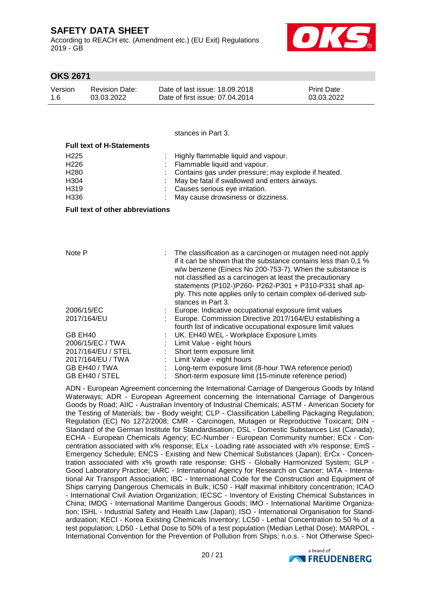According to REACH etc. (Amendment etc.) (EU Exit) Regulations 2019 - GB



### **OKS 2671**

| Version | <b>Revision Date:</b> | Date of last issue: 18,09,2018  | <b>Print Date:</b> |
|---------|-----------------------|---------------------------------|--------------------|
| 1.6     | 03.03.2022            | Date of first issue: 07.04.2014 | 03.03.2022         |

stances in Part 3.

| <b>Full text of H-Statements</b> |                                                       |
|----------------------------------|-------------------------------------------------------|
| H <sub>225</sub>                 | : Highly flammable liquid and vapour.                 |
| H <sub>226</sub>                 | : Flammable liquid and vapour.                        |
| H <sub>280</sub>                 | : Contains gas under pressure; may explode if heated. |
| H304                             | May be fatal if swallowed and enters airways.         |
| H319                             | : Causes serious eye irritation.                      |
| H336                             | May cause drowsiness or dizziness.                    |

#### **Full text of other abbreviations**

| Note P             | The classification as a carcinogen or mutagen need not apply<br>if it can be shown that the substance contains less than 0.1 %<br>w/w benzene (Einecs No 200-753-7). When the substance is<br>not classified as a carcinogen at least the precautionary<br>statements (P102-)P260- P262-P301 + P310-P331 shall ap-<br>ply. This note applies only to certain complex oil-derived sub-<br>stances in Part 3. |
|--------------------|-------------------------------------------------------------------------------------------------------------------------------------------------------------------------------------------------------------------------------------------------------------------------------------------------------------------------------------------------------------------------------------------------------------|
| 2006/15/EC         | Europe. Indicative occupational exposure limit values                                                                                                                                                                                                                                                                                                                                                       |
| 2017/164/EU        | Europe. Commission Directive 2017/164/EU establishing a<br>fourth list of indicative occupational exposure limit values                                                                                                                                                                                                                                                                                     |
| GB EH40            | UK. EH40 WEL - Workplace Exposure Limits                                                                                                                                                                                                                                                                                                                                                                    |
| 2006/15/EC / TWA   | Limit Value - eight hours                                                                                                                                                                                                                                                                                                                                                                                   |
| 2017/164/EU / STEL | Short term exposure limit                                                                                                                                                                                                                                                                                                                                                                                   |
| 2017/164/EU / TWA  | Limit Value - eight hours                                                                                                                                                                                                                                                                                                                                                                                   |
| GB EH40 / TWA      | Long-term exposure limit (8-hour TWA reference period)                                                                                                                                                                                                                                                                                                                                                      |
| GB EH40 / STEL     | Short-term exposure limit (15-minute reference period)                                                                                                                                                                                                                                                                                                                                                      |

ADN - European Agreement concerning the International Carriage of Dangerous Goods by Inland Waterways; ADR - European Agreement concerning the International Carriage of Dangerous Goods by Road; AIIC - Australian Inventory of Industrial Chemicals; ASTM - American Society for the Testing of Materials; bw - Body weight; CLP - Classification Labelling Packaging Regulation; Regulation (EC) No 1272/2008; CMR - Carcinogen, Mutagen or Reproductive Toxicant; DIN - Standard of the German Institute for Standardisation; DSL - Domestic Substances List (Canada); ECHA - European Chemicals Agency; EC-Number - European Community number; ECx - Concentration associated with x% response; ELx - Loading rate associated with x% response; EmS - Emergency Schedule; ENCS - Existing and New Chemical Substances (Japan); ErCx - Concentration associated with x% growth rate response; GHS - Globally Harmonized System; GLP - Good Laboratory Practice; IARC - International Agency for Research on Cancer; IATA - International Air Transport Association; IBC - International Code for the Construction and Equipment of Ships carrying Dangerous Chemicals in Bulk; IC50 - Half maximal inhibitory concentration; ICAO - International Civil Aviation Organization; IECSC - Inventory of Existing Chemical Substances in China; IMDG - International Maritime Dangerous Goods; IMO - International Maritime Organization; ISHL - Industrial Safety and Health Law (Japan); ISO - International Organisation for Standardization; KECI - Korea Existing Chemicals Inventory; LC50 - Lethal Concentration to 50 % of a test population; LD50 - Lethal Dose to 50% of a test population (Median Lethal Dose); MARPOL - International Convention for the Prevention of Pollution from Ships; n.o.s. - Not Otherwise Speci-